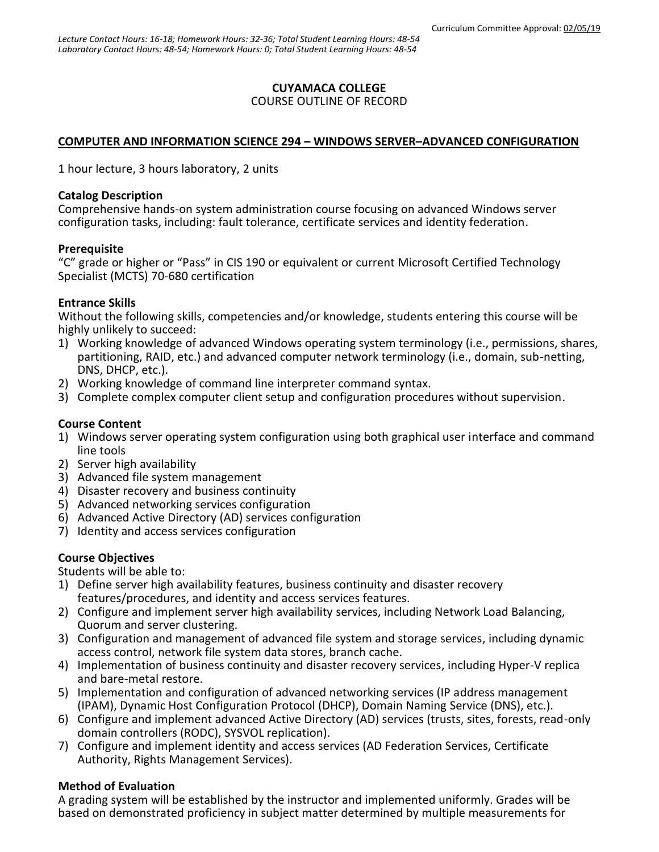## **CUYAMACA COLLEGE**

#### COURSE OUTLINE OF RECORD

### **COMPUTER AND INFORMATION SCIENCE 294 – WINDOWS SERVER–ADVANCED CONFIGURATION**

1 hour lecture, 3 hours laboratory, 2 units

#### **Catalog Description**

Comprehensive hands-on system administration course focusing on advanced Windows server configuration tasks, including: fault tolerance, certificate services and identity federation.

#### **Prerequisite**

"C" grade or higher or "Pass" in CIS 190 or equivalent or current Microsoft Certified Technology Specialist (MCTS) 70-680 certification

### **Entrance Skills**

Without the following skills, competencies and/or knowledge, students entering this course will be highly unlikely to succeed:

- 1) Working knowledge of advanced Windows operating system terminology (i.e., permissions, shares, partitioning, RAID, etc.) and advanced computer network terminology (i.e., domain, sub-netting, DNS, DHCP, etc.).
- 2) Working knowledge of command line interpreter command syntax.
- 3) Complete complex computer client setup and configuration procedures without supervision.

### **Course Content**

- 1) Windows server operating system configuration using both graphical user interface and command line tools
- 2) Server high availability
- 3) Advanced file system management
- 4) Disaster recovery and business continuity
- 5) Advanced networking services configuration
- 6) Advanced Active Directory (AD) services configuration
- 7) Identity and access services configuration

### **Course Objectives**

Students will be able to:

- 1) Define server high availability features, business continuity and disaster recovery features/procedures, and identity and access services features.
- 2) Configure and implement server high availability services, including Network Load Balancing, Quorum and server clustering.
- 3) Configuration and management of advanced file system and storage services, including dynamic access control, network file system data stores, branch cache.
- 4) Implementation of business continuity and disaster recovery services, including Hyper-V replica and bare-metal restore.
- 5) Implementation and configuration of advanced networking services (IP address management (IPAM), Dynamic Host Configuration Protocol (DHCP), Domain Naming Service (DNS), etc.).
- 6) Configure and implement advanced Active Directory (AD) services (trusts, sites, forests, read-only domain controllers (RODC), SYSVOL replication).
- 7) Configure and implement identity and access services (AD Federation Services, Certificate Authority, Rights Management Services).

### **Method of Evaluation**

A grading system will be established by the instructor and implemented uniformly. Grades will be based on demonstrated proficiency in subject matter determined by multiple measurements for